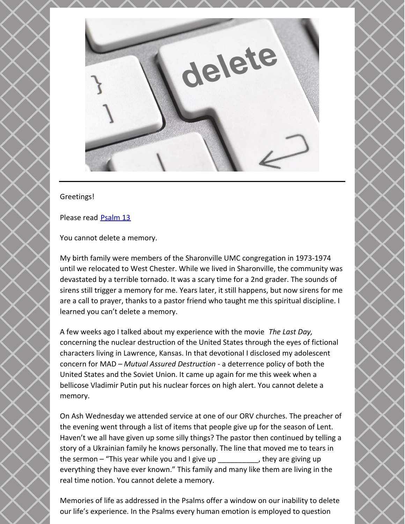

## Greetings!

Please read [Psalm](https://www.biblegateway.com/passage/?search=PS+13&version=NRSV) 13

You cannot delete a memory.

My birth family were members of the Sharonville UMC congregation in 1973-1974 until we relocated to West Chester. While we lived in Sharonville, the community was devastated by a terrible tornado. It was a scary time for a 2nd grader. The sounds of sirens still trigger a memory for me. Years later, it still happens, but now sirens for me are a call to prayer, thanks to a pastor friend who taught me this spiritual discipline. I learned you can't delete a memory.

A few weeks ago I talked about my experience with the movie *The Last Day,* concerning the nuclear destruction of the United States through the eyes of fictional characters living in Lawrence, Kansas. In that devotional I disclosed my adolescent concern for MAD – *Mutual Assured Destruction* - a deterrence policy of both the United States and the Soviet Union. It came up again for me this week when a bellicose Vladimir Putin put his nuclear forces on high alert. You cannot delete a memory.

On Ash Wednesday we attended service at one of our ORV churches. The preacher of the evening went through a list of items that people give up for the season of Lent. Haven't we all have given up some silly things? The pastor then continued by telling a story of a Ukrainian family he knows personally. The line that moved me to tears in the sermon – "This year while you and I give up \_\_\_\_\_\_\_\_\_\_, they are giving up everything they have ever known." This family and many like them are living in the real time notion. You cannot delete a memory.

Memories of life as addressed in the Psalms offer a window on our inability to delete our life's experience. In the Psalms every human emotion is employed to question